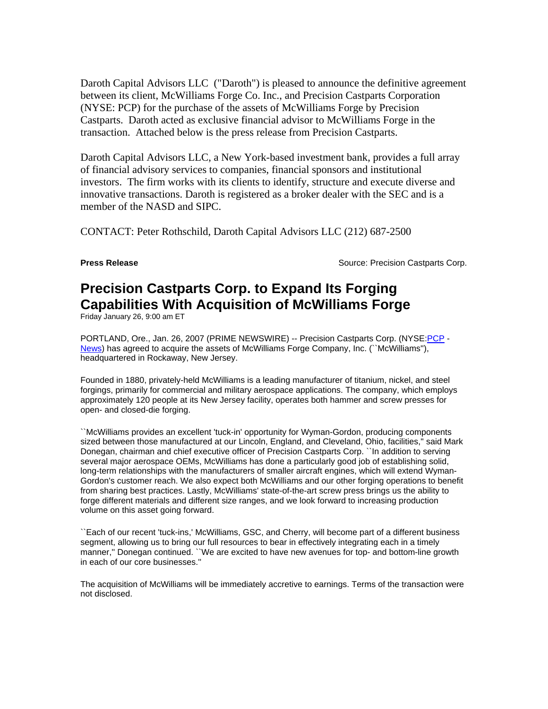Daroth Capital Advisors LLC ("Daroth") is pleased to announce the definitive agreement between its client, McWilliams Forge Co. Inc., and Precision Castparts Corporation (NYSE: PCP) for the purchase of the assets of McWilliams Forge by Precision Castparts. Daroth acted as exclusive financial advisor to McWilliams Forge in the transaction. Attached below is the press release from Precision Castparts.

Daroth Capital Advisors LLC, a New York-based investment bank, provides a full array of financial advisory services to companies, financial sponsors and institutional investors. The firm works with its clients to identify, structure and execute diverse and innovative transactions. Daroth is registered as a broker dealer with the SEC and is a member of the NASD and SIPC.

CONTACT: Peter Rothschild, Daroth Capital Advisors LLC (212) 687-2500

**Press Release Source: Precision Castparts Corp. Press Release Source: Precision Castparts Corp.** 

## **Precision Castparts Corp. to Expand Its Forging Capabilities With Acquisition of McWilliams Forge**

Friday January 26, 9:00 am ET

PORTLAND, Ore., Jan. 26, 2007 (PRIME NEWSWIRE) -- Precision Castparts Corp. (NYSE:PCP -News) has agreed to acquire the assets of McWilliams Forge Company, Inc. (`McWilliams"), headquartered in Rockaway, New Jersey.

Founded in 1880, privately-held McWilliams is a leading manufacturer of titanium, nickel, and steel forgings, primarily for commercial and military aerospace applications. The company, which employs approximately 120 people at its New Jersey facility, operates both hammer and screw presses for open- and closed-die forging.

``McWilliams provides an excellent 'tuck-in' opportunity for Wyman-Gordon, producing components sized between those manufactured at our Lincoln, England, and Cleveland, Ohio, facilities,'' said Mark Donegan, chairman and chief executive officer of Precision Castparts Corp. ``In addition to serving several major aerospace OEMs, McWilliams has done a particularly good job of establishing solid, long-term relationships with the manufacturers of smaller aircraft engines, which will extend Wyman-Gordon's customer reach. We also expect both McWilliams and our other forging operations to benefit from sharing best practices. Lastly, McWilliams' state-of-the-art screw press brings us the ability to forge different materials and different size ranges, and we look forward to increasing production volume on this asset going forward.

``Each of our recent 'tuck-ins,' McWilliams, GSC, and Cherry, will become part of a different business segment, allowing us to bring our full resources to bear in effectively integrating each in a timely manner,'' Donegan continued. ``We are excited to have new avenues for top- and bottom-line growth in each of our core businesses.''

The acquisition of McWilliams will be immediately accretive to earnings. Terms of the transaction were not disclosed.